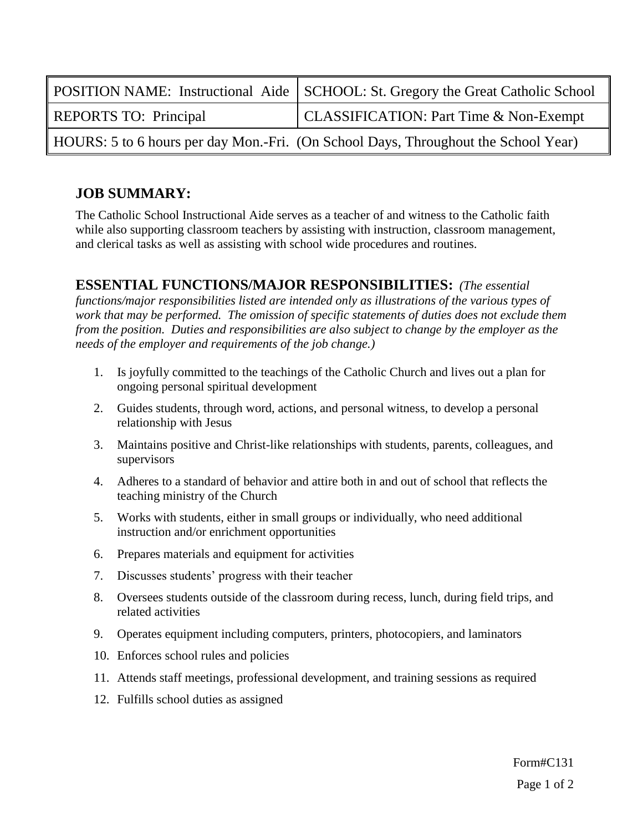|                                                                                    | <b>POSITION NAME:</b> Instructional Aide   SCHOOL: St. Gregory the Great Catholic School |
|------------------------------------------------------------------------------------|------------------------------------------------------------------------------------------|
| <b>REPORTS TO: Principal</b>                                                       | <b>CLASSIFICATION: Part Time &amp; Non-Exempt</b>                                        |
| HOURS: 5 to 6 hours per day Mon.-Fri. (On School Days, Throughout the School Year) |                                                                                          |

# **JOB SUMMARY:**

The Catholic School Instructional Aide serves as a teacher of and witness to the Catholic faith while also supporting classroom teachers by assisting with instruction, classroom management, and clerical tasks as well as assisting with school wide procedures and routines.

#### **ESSENTIAL FUNCTIONS/MAJOR RESPONSIBILITIES:** *(The essential*

*functions/major responsibilities listed are intended only as illustrations of the various types of work that may be performed. The omission of specific statements of duties does not exclude them from the position. Duties and responsibilities are also subject to change by the employer as the needs of the employer and requirements of the job change.)* 

- 1. Is joyfully committed to the teachings of the Catholic Church and lives out a plan for ongoing personal spiritual development
- 2. Guides students, through word, actions, and personal witness, to develop a personal relationship with Jesus
- 3. Maintains positive and Christ-like relationships with students, parents, colleagues, and supervisors
- 4. Adheres to a standard of behavior and attire both in and out of school that reflects the teaching ministry of the Church
- 5. Works with students, either in small groups or individually, who need additional instruction and/or enrichment opportunities
- 6. Prepares materials and equipment for activities
- 7. Discusses students' progress with their teacher
- 8. Oversees students outside of the classroom during recess, lunch, during field trips, and related activities
- 9. Operates equipment including computers, printers, photocopiers, and laminators
- 10. Enforces school rules and policies
- 11. Attends staff meetings, professional development, and training sessions as required
- 12. Fulfills school duties as assigned